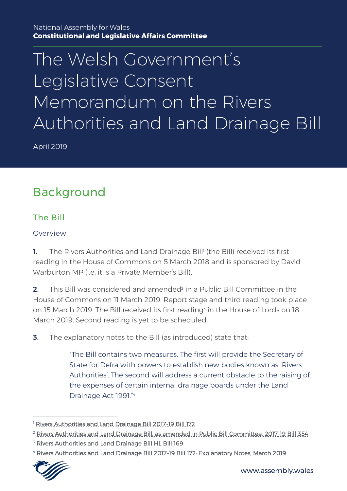#### National Assembly for Wales **Constitutional and Legislative Affairs Committee**

# The Welsh Government' s Legislative Consent Memorandum on the Rivers Authorities and Land Drainage Bill

April 2019

# Background

### The Bill

#### Overview

**1.** The Rivers Authorities and Land Drainage Bill<sup>1</sup> (the Bill) received its first reading in the House of Commons on 5 March 2018 and is sponsored by David Warburton MP (i.e. it is a Private Member's Bill).

**2.** This Bill was considered and amended<sup>2</sup> in a Public Bill Committee in the House of Commons on 11 March 2019. Report stage and third reading took place on 15 March 2019. The Bill received its first reading<sup>3</sup> in the House of Lords on 18 March 2019. Second reading is yet to be scheduled.

**3.** The explanatory notes to the Bill (as introduced) state that:

"The Bill contains two measures. The first will provide the Secretary of State for Defra with powers to establish new bodies known as 'Rivers Authorities'. The second will address a current obstacle to the raising of the expenses of certain internal drainage boards under the Land Drainage Act 1991."<sup>4</sup>

<sup>4</sup> [Rivers Authorities and Land Drainage Bill 2017-19 Bill 172: Explanatory Notes, March 2019](https://publications.parliament.uk/pa/bills/cbill/2017-2019/0172/en/18172en.pdf)



-

<sup>&</sup>lt;sup>1</sup> [Rivers Authorities and Land Drainage Bill 2017-19 Bill 172](https://publications.parliament.uk/pa/bills/cbill/2017-2019/0172/18172.pdf)

<sup>&</sup>lt;sup>2</sup> [Rivers Authorities and Land Drainage Bill, as amended in Public Bill Committee, 2017-19 Bill 354](https://publications.parliament.uk/pa/bills/cbill/2017-2019/0354/19354.pdf)

<sup>&</sup>lt;sup>3</sup> [Rivers Authorities and Land Drainage Bill HL Bill 169](https://publications.parliament.uk/pa/bills/lbill/2017-2019/0169/18169.pdf)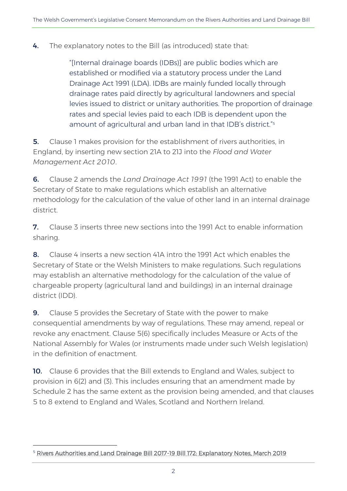4. The explanatory notes to the Bill (as introduced) state that:

"[Internal drainage boards (IDBs)] are public bodies which are established or modified via a statutory process under the Land Drainage Act 1991 (LDA). IDBs are mainly funded locally through drainage rates paid directly by agricultural landowners and special levies issued to district or unitary authorities. The proportion of drainage rates and special levies paid to each IDB is dependent upon the amount of agricultural and urban land in that IDB's district." 5

**5.** Clause 1 makes provision for the establishment of rivers authorities, in England, by inserting new section 21A to 21J into the *Flood and Water Management Act 2010*.

6. Clause 2 amends the *Land Drainage Act 1991* (the 1991 Act) to enable the Secretary of State to make regulations which establish an alternative methodology for the calculation of the value of other land in an internal drainage district.

7. Clause 3 inserts three new sections into the 1991 Act to enable information sharing.

8. Clause 4 inserts a new section 41A intro the 1991 Act which enables the Secretary of State or the Welsh Ministers to make regulations. Such regulations may establish an alternative methodology for the calculation of the value of chargeable property (agricultural land and buildings) in an internal drainage district (IDD).

9. Clause 5 provides the Secretary of State with the power to make consequential amendments by way of regulations. These may amend, repeal or revoke any enactment. Clause 5(6) specifically includes Measure or Acts of the National Assembly for Wales (or instruments made under such Welsh legislation) in the definition of enactment.

10. Clause 6 provides that the Bill extends to England and Wales, subject to provision in 6(2) and (3). This includes ensuring that an amendment made by Schedule 2 has the same extent as the provision being amended, and that clauses 5 to 8 extend to England and Wales, Scotland and Northern Ireland.

-

<sup>&</sup>lt;sup>5</sup> [Rivers Authorities and Land Drainage Bill 2017-19 Bill 172: Explanatory Notes, March 2019](https://publications.parliament.uk/pa/bills/cbill/2017-2019/0172/en/18172en.pdf)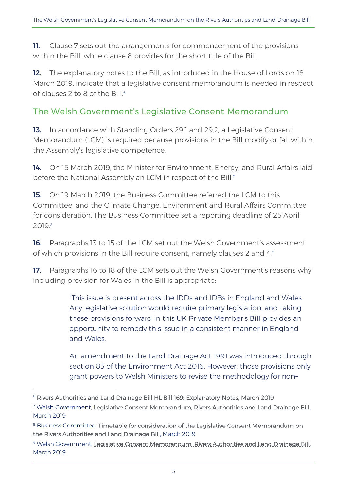**11.** Clause 7 sets out the arrangements for commencement of the provisions within the Bill, while clause 8 provides for the short title of the Bill.

12. The explanatory notes to the Bill, as introduced in the House of Lords on 18 March 2019, indicate that a legislative consent memorandum is needed in respect of clauses  $2$  to 8 of the Bill.<sup>6</sup>

## The Welsh Government's Legislative Consent Memorandum

13. In accordance with Standing Orders 29.1 and 29.2, a Legislative Consent Memorandum (LCM) is required because provisions in the Bill modify or fall within the Assembly's legislative competence.

14. On 15 March 2019, the Minister for Environment, Energy, and Rural Affairs laid before the National Assembly an LCM in respect of the Bill.<sup>7</sup>

**15.** On 19 March 2019, the Business Committee referred the LCM to this Committee, and the Climate Change, Environment and Rural Affairs Committee for consideration. The Business Committee set a reporting deadline of 25 April 2019.<sup>8</sup>

16. Paragraphs 13 to 15 of the LCM set out the Welsh Government's assessment of which provisions in the Bill require consent, namely clauses 2 and 4.<sup>9</sup>

17. Paragraphs 16 to 18 of the LCM sets out the Welsh Government's reasons why including provision for Wales in the Bill is appropriate:

> "This issue is present across the IDDs and IDBs in England and Wales. Any legislative solution would require primary legislation, and taking these provisions forward in this UK Private Member's Bill provides an opportunity to remedy this issue in a consistent manner in England and Wales.

An amendment to the Land Drainage Act 1991 was introduced through section 83 of the Environment Act 2016. However, those provisions only grant powers to Welsh Ministers to revise the methodology for non–

-

<sup>&</sup>lt;sup>6</sup> [Rivers Authorities and Land Drainage Bill HL Bill 169: Explanatory Notes, March 2019](https://publications.parliament.uk/pa/bills/lbill/2017-2019/0169/18169en.pdf)

<sup>7</sup> Welsh Government, [Legislative Consent Memorandum, Rivers Authorities and Land Drainage Bill,](http://www.assembly.wales/laid%20documents/lcm-ld12403/lcm-ld12403-e.pdf)  March 2019

<sup>8</sup> Business Committee, Timetable for consideration of the Legislative Consent Memorandum on [the Rivers Authorities and Land Drainage Bill,](http://www.assembly.wales/laid%20documents/cr-ld12450/cr-ld12450-e.pdf) March 2019

<sup>&</sup>lt;sup>9</sup> Welsh Government, [Legislative Consent Memorandum, Rivers Authorities and Land Drainage Bill,](http://www.assembly.wales/laid%20documents/lcm-ld12403/lcm-ld12403-e.pdf) March 2019